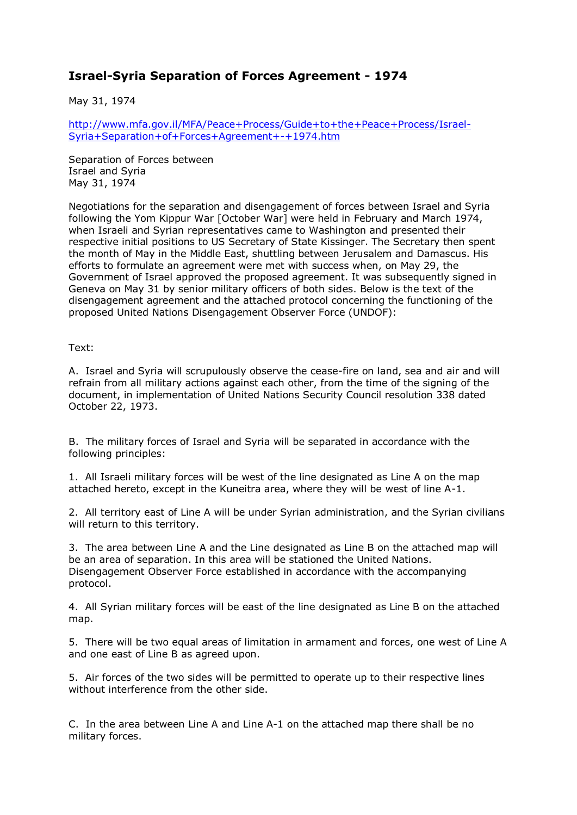## **Israel-Syria Separation of Forces Agreement - 1974**

May 31, 1974

[http://www.mfa.gov.il/MFA/Peace+Process/Guide+to+the+Peace+Process/Israel-](http://www.mfa.gov.il/MFA/Peace+Process/Guide+to+the+Peace+Process/Israel-Syria+Separation+of+Forces+Agreement+-+1974.htm)[Syria+Separation+of+Forces+Agreement+-+1974.htm](http://www.mfa.gov.il/MFA/Peace+Process/Guide+to+the+Peace+Process/Israel-Syria+Separation+of+Forces+Agreement+-+1974.htm)

Separation of Forces between Israel and Syria May 31, 1974

Negotiations for the separation and disengagement of forces between Israel and Syria following the Yom Kippur War [October War] were held in February and March 1974, when Israeli and Syrian representatives came to Washington and presented their respective initial positions to US Secretary of State Kissinger. The Secretary then spent the month of May in the Middle East, shuttling between Jerusalem and Damascus. His efforts to formulate an agreement were met with success when, on May 29, the Government of Israel approved the proposed agreement. It was subsequently signed in Geneva on May 31 by senior military officers of both sides. Below is the text of the disengagement agreement and the attached protocol concerning the functioning of the proposed United Nations Disengagement Observer Force (UNDOF):

Text:

A. Israel and Syria will scrupulously observe the cease-fire on land, sea and air and will refrain from all military actions against each other, from the time of the signing of the document, in implementation of United Nations Security Council resolution 338 dated October 22, 1973.

B. The military forces of Israel and Syria will be separated in accordance with the following principles:

1. All Israeli military forces will be west of the line designated as Line A on the map attached hereto, except in the Kuneitra area, where they will be west of line A-1.

2. All territory east of Line A will be under Syrian administration, and the Syrian civilians will return to this territory.

3. The area between Line A and the Line designated as Line B on the attached map will be an area of separation. In this area will be stationed the United Nations. Disengagement Observer Force established in accordance with the accompanying protocol.

4. All Syrian military forces will be east of the line designated as Line B on the attached map.

5. There will be two equal areas of limitation in armament and forces, one west of Line A and one east of Line B as agreed upon.

5. Air forces of the two sides will be permitted to operate up to their respective lines without interference from the other side.

C. In the area between Line A and Line A-1 on the attached map there shall be no military forces.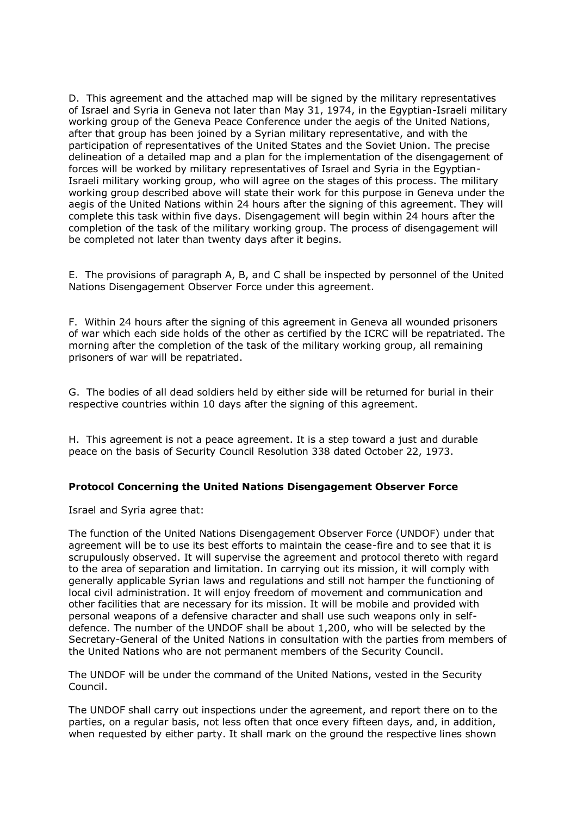D. This agreement and the attached map will be signed by the military representatives of Israel and Syria in Geneva not later than May 31, 1974, in the Egyptian-Israeli military working group of the Geneva Peace Conference under the aegis of the United Nations, after that group has been joined by a Syrian military representative, and with the participation of representatives of the United States and the Soviet Union. The precise delineation of a detailed map and a plan for the implementation of the disengagement of forces will be worked by military representatives of Israel and Syria in the Egyptian-Israeli military working group, who will agree on the stages of this process. The military working group described above will state their work for this purpose in Geneva under the aegis of the United Nations within 24 hours after the signing of this agreement. They will complete this task within five days. Disengagement will begin within 24 hours after the completion of the task of the military working group. The process of disengagement will be completed not later than twenty days after it begins.

E. The provisions of paragraph A, B, and C shall be inspected by personnel of the United Nations Disengagement Observer Force under this agreement.

F. Within 24 hours after the signing of this agreement in Geneva all wounded prisoners of war which each side holds of the other as certified by the ICRC will be repatriated. The morning after the completion of the task of the military working group, all remaining prisoners of war will be repatriated.

G. The bodies of all dead soldiers held by either side will be returned for burial in their respective countries within 10 days after the signing of this agreement.

H. This agreement is not a peace agreement. It is a step toward a just and durable peace on the basis of Security Council Resolution 338 dated October 22, 1973.

## **Protocol Concerning the United Nations Disengagement Observer Force**

Israel and Syria agree that:

The function of the United Nations Disengagement Observer Force (UNDOF) under that agreement will be to use its best efforts to maintain the cease-fire and to see that it is scrupulously observed. It will supervise the agreement and protocol thereto with regard to the area of separation and limitation. In carrying out its mission, it will comply with generally applicable Syrian laws and regulations and still not hamper the functioning of local civil administration. It will enjoy freedom of movement and communication and other facilities that are necessary for its mission. It will be mobile and provided with personal weapons of a defensive character and shall use such weapons only in selfdefence. The number of the UNDOF shall be about 1,200, who will be selected by the Secretary-General of the United Nations in consultation with the parties from members of the United Nations who are not permanent members of the Security Council.

The UNDOF will be under the command of the United Nations, vested in the Security Council.

The UNDOF shall carry out inspections under the agreement, and report there on to the parties, on a regular basis, not less often that once every fifteen days, and, in addition, when requested by either party. It shall mark on the ground the respective lines shown